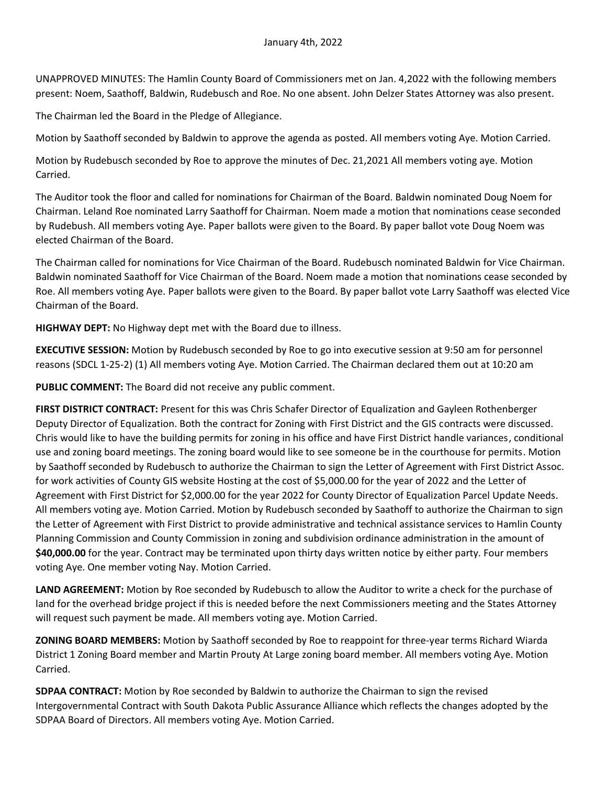UNAPPROVED MINUTES: The Hamlin County Board of Commissioners met on Jan. 4,2022 with the following members present: Noem, Saathoff, Baldwin, Rudebusch and Roe. No one absent. John Delzer States Attorney was also present.

The Chairman led the Board in the Pledge of Allegiance.

Motion by Saathoff seconded by Baldwin to approve the agenda as posted. All members voting Aye. Motion Carried.

Motion by Rudebusch seconded by Roe to approve the minutes of Dec. 21,2021 All members voting aye. Motion Carried.

The Auditor took the floor and called for nominations for Chairman of the Board. Baldwin nominated Doug Noem for Chairman. Leland Roe nominated Larry Saathoff for Chairman. Noem made a motion that nominations cease seconded by Rudebush. All members voting Aye. Paper ballots were given to the Board. By paper ballot vote Doug Noem was elected Chairman of the Board.

The Chairman called for nominations for Vice Chairman of the Board. Rudebusch nominated Baldwin for Vice Chairman. Baldwin nominated Saathoff for Vice Chairman of the Board. Noem made a motion that nominations cease seconded by Roe. All members voting Aye. Paper ballots were given to the Board. By paper ballot vote Larry Saathoff was elected Vice Chairman of the Board.

**HIGHWAY DEPT:** No Highway dept met with the Board due to illness.

**EXECUTIVE SESSION:** Motion by Rudebusch seconded by Roe to go into executive session at 9:50 am for personnel reasons (SDCL 1-25-2) (1) All members voting Aye. Motion Carried. The Chairman declared them out at 10:20 am

**PUBLIC COMMENT:** The Board did not receive any public comment.

**FIRST DISTRICT CONTRACT:** Present for this was Chris Schafer Director of Equalization and Gayleen Rothenberger Deputy Director of Equalization. Both the contract for Zoning with First District and the GIS contracts were discussed. Chris would like to have the building permits for zoning in his office and have First District handle variances, conditional use and zoning board meetings. The zoning board would like to see someone be in the courthouse for permits. Motion by Saathoff seconded by Rudebusch to authorize the Chairman to sign the Letter of Agreement with First District Assoc. for work activities of County GIS website Hosting at the cost of \$5,000.00 for the year of 2022 and the Letter of Agreement with First District for \$2,000.00 for the year 2022 for County Director of Equalization Parcel Update Needs. All members voting aye. Motion Carried. Motion by Rudebusch seconded by Saathoff to authorize the Chairman to sign the Letter of Agreement with First District to provide administrative and technical assistance services to Hamlin County Planning Commission and County Commission in zoning and subdivision ordinance administration in the amount of **\$40,000.00** for the year. Contract may be terminated upon thirty days written notice by either party. Four members voting Aye. One member voting Nay. Motion Carried.

**LAND AGREEMENT:** Motion by Roe seconded by Rudebusch to allow the Auditor to write a check for the purchase of land for the overhead bridge project if this is needed before the next Commissioners meeting and the States Attorney will request such payment be made. All members voting aye. Motion Carried.

**ZONING BOARD MEMBERS:** Motion by Saathoff seconded by Roe to reappoint for three-year terms Richard Wiarda District 1 Zoning Board member and Martin Prouty At Large zoning board member. All members voting Aye. Motion Carried.

**SDPAA CONTRACT:** Motion by Roe seconded by Baldwin to authorize the Chairman to sign the revised Intergovernmental Contract with South Dakota Public Assurance Alliance which reflects the changes adopted by the SDPAA Board of Directors. All members voting Aye. Motion Carried.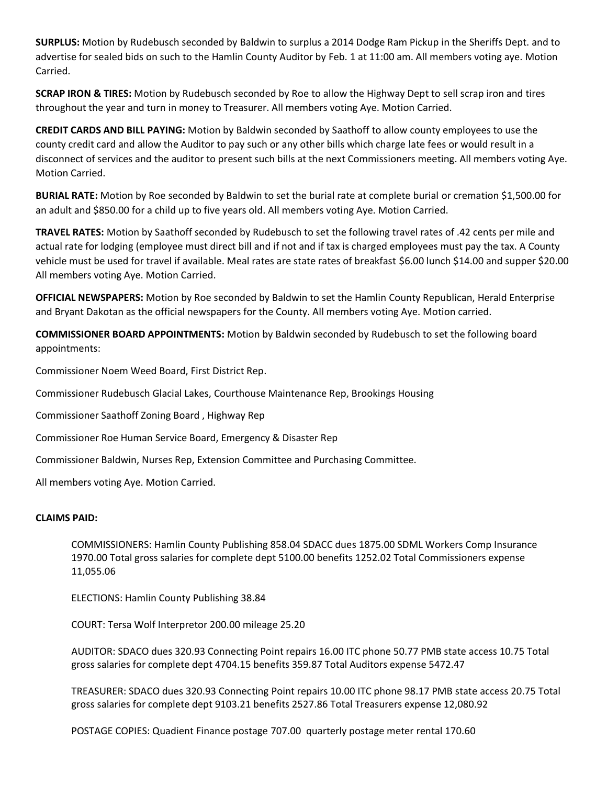**SURPLUS:** Motion by Rudebusch seconded by Baldwin to surplus a 2014 Dodge Ram Pickup in the Sheriffs Dept. and to advertise for sealed bids on such to the Hamlin County Auditor by Feb. 1 at 11:00 am. All members voting aye. Motion Carried.

**SCRAP IRON & TIRES:** Motion by Rudebusch seconded by Roe to allow the Highway Dept to sell scrap iron and tires throughout the year and turn in money to Treasurer. All members voting Aye. Motion Carried.

**CREDIT CARDS AND BILL PAYING:** Motion by Baldwin seconded by Saathoff to allow county employees to use the county credit card and allow the Auditor to pay such or any other bills which charge late fees or would result in a disconnect of services and the auditor to present such bills at the next Commissioners meeting. All members voting Aye. Motion Carried.

**BURIAL RATE:** Motion by Roe seconded by Baldwin to set the burial rate at complete burial or cremation \$1,500.00 for an adult and \$850.00 for a child up to five years old. All members voting Aye. Motion Carried.

**TRAVEL RATES:** Motion by Saathoff seconded by Rudebusch to set the following travel rates of .42 cents per mile and actual rate for lodging (employee must direct bill and if not and if tax is charged employees must pay the tax. A County vehicle must be used for travel if available. Meal rates are state rates of breakfast \$6.00 lunch \$14.00 and supper \$20.00 All members voting Aye. Motion Carried.

**OFFICIAL NEWSPAPERS:** Motion by Roe seconded by Baldwin to set the Hamlin County Republican, Herald Enterprise and Bryant Dakotan as the official newspapers for the County. All members voting Aye. Motion carried.

**COMMISSIONER BOARD APPOINTMENTS:** Motion by Baldwin seconded by Rudebusch to set the following board appointments:

Commissioner Noem Weed Board, First District Rep.

Commissioner Rudebusch Glacial Lakes, Courthouse Maintenance Rep, Brookings Housing

Commissioner Saathoff Zoning Board , Highway Rep

Commissioner Roe Human Service Board, Emergency & Disaster Rep

Commissioner Baldwin, Nurses Rep, Extension Committee and Purchasing Committee.

All members voting Aye. Motion Carried.

## **CLAIMS PAID:**

COMMISSIONERS: Hamlin County Publishing 858.04 SDACC dues 1875.00 SDML Workers Comp Insurance 1970.00 Total gross salaries for complete dept 5100.00 benefits 1252.02 Total Commissioners expense 11,055.06

ELECTIONS: Hamlin County Publishing 38.84

COURT: Tersa Wolf Interpretor 200.00 mileage 25.20

AUDITOR: SDACO dues 320.93 Connecting Point repairs 16.00 ITC phone 50.77 PMB state access 10.75 Total gross salaries for complete dept 4704.15 benefits 359.87 Total Auditors expense 5472.47

TREASURER: SDACO dues 320.93 Connecting Point repairs 10.00 ITC phone 98.17 PMB state access 20.75 Total gross salaries for complete dept 9103.21 benefits 2527.86 Total Treasurers expense 12,080.92

POSTAGE COPIES: Quadient Finance postage 707.00 quarterly postage meter rental 170.60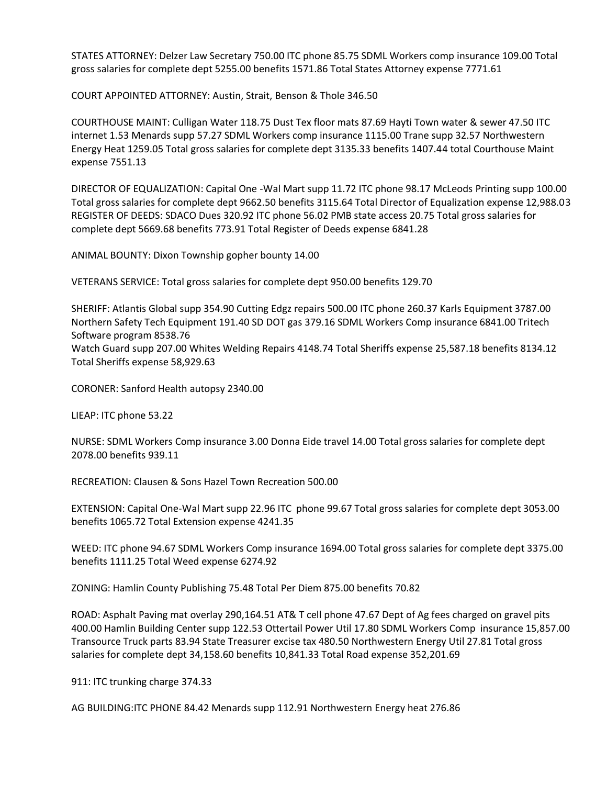STATES ATTORNEY: Delzer Law Secretary 750.00 ITC phone 85.75 SDML Workers comp insurance 109.00 Total gross salaries for complete dept 5255.00 benefits 1571.86 Total States Attorney expense 7771.61

COURT APPOINTED ATTORNEY: Austin, Strait, Benson & Thole 346.50

COURTHOUSE MAINT: Culligan Water 118.75 Dust Tex floor mats 87.69 Hayti Town water & sewer 47.50 ITC internet 1.53 Menards supp 57.27 SDML Workers comp insurance 1115.00 Trane supp 32.57 Northwestern Energy Heat 1259.05 Total gross salaries for complete dept 3135.33 benefits 1407.44 total Courthouse Maint expense 7551.13

DIRECTOR OF EQUALIZATION: Capital One -Wal Mart supp 11.72 ITC phone 98.17 McLeods Printing supp 100.00 Total gross salaries for complete dept 9662.50 benefits 3115.64 Total Director of Equalization expense 12,988.03 REGISTER OF DEEDS: SDACO Dues 320.92 ITC phone 56.02 PMB state access 20.75 Total gross salaries for complete dept 5669.68 benefits 773.91 Total Register of Deeds expense 6841.28

ANIMAL BOUNTY: Dixon Township gopher bounty 14.00

VETERANS SERVICE: Total gross salaries for complete dept 950.00 benefits 129.70

SHERIFF: Atlantis Global supp 354.90 Cutting Edgz repairs 500.00 ITC phone 260.37 Karls Equipment 3787.00 Northern Safety Tech Equipment 191.40 SD DOT gas 379.16 SDML Workers Comp insurance 6841.00 Tritech Software program 8538.76 Watch Guard supp 207.00 Whites Welding Repairs 4148.74 Total Sheriffs expense 25,587.18 benefits 8134.12 Total Sheriffs expense 58,929.63

CORONER: Sanford Health autopsy 2340.00

LIEAP: ITC phone 53.22

NURSE: SDML Workers Comp insurance 3.00 Donna Eide travel 14.00 Total gross salaries for complete dept 2078.00 benefits 939.11

RECREATION: Clausen & Sons Hazel Town Recreation 500.00

EXTENSION: Capital One-Wal Mart supp 22.96 ITC phone 99.67 Total gross salaries for complete dept 3053.00 benefits 1065.72 Total Extension expense 4241.35

WEED: ITC phone 94.67 SDML Workers Comp insurance 1694.00 Total gross salaries for complete dept 3375.00 benefits 1111.25 Total Weed expense 6274.92

ZONING: Hamlin County Publishing 75.48 Total Per Diem 875.00 benefits 70.82

ROAD: Asphalt Paving mat overlay 290,164.51 AT& T cell phone 47.67 Dept of Ag fees charged on gravel pits 400.00 Hamlin Building Center supp 122.53 Ottertail Power Util 17.80 SDML Workers Comp insurance 15,857.00 Transource Truck parts 83.94 State Treasurer excise tax 480.50 Northwestern Energy Util 27.81 Total gross salaries for complete dept 34,158.60 benefits 10,841.33 Total Road expense 352,201.69

911: ITC trunking charge 374.33

AG BUILDING:ITC PHONE 84.42 Menards supp 112.91 Northwestern Energy heat 276.86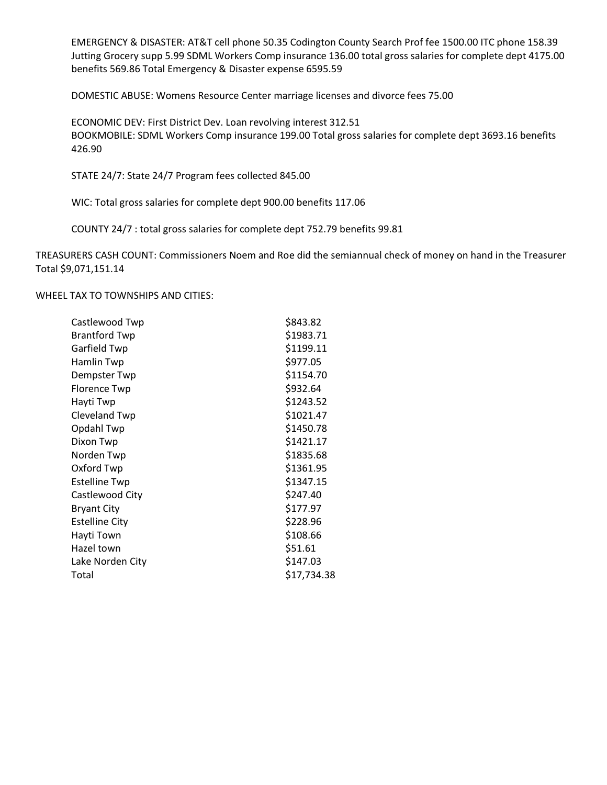EMERGENCY & DISASTER: AT&T cell phone 50.35 Codington County Search Prof fee 1500.00 ITC phone 158.39 Jutting Grocery supp 5.99 SDML Workers Comp insurance 136.00 total gross salaries for complete dept 4175.00 benefits 569.86 Total Emergency & Disaster expense 6595.59

DOMESTIC ABUSE: Womens Resource Center marriage licenses and divorce fees 75.00

ECONOMIC DEV: First District Dev. Loan revolving interest 312.51 BOOKMOBILE: SDML Workers Comp insurance 199.00 Total gross salaries for complete dept 3693.16 benefits 426.90

STATE 24/7: State 24/7 Program fees collected 845.00

WIC: Total gross salaries for complete dept 900.00 benefits 117.06

COUNTY 24/7 : total gross salaries for complete dept 752.79 benefits 99.81

TREASURERS CASH COUNT: Commissioners Noem and Roe did the semiannual check of money on hand in the Treasurer Total \$9,071,151.14

#### WHEEL TAX TO TOWNSHIPS AND CITIES:

| Castlewood Twp        | \$843.82    |
|-----------------------|-------------|
| <b>Brantford Twp</b>  | \$1983.71   |
| Garfield Twp          | \$1199.11   |
| Hamlin Twp            | \$977.05    |
| Dempster Twp          | \$1154.70   |
| <b>Florence Twp</b>   | \$932.64    |
| Hayti Twp             | \$1243.52   |
| <b>Cleveland Twp</b>  | \$1021.47   |
| Opdahl Twp            | \$1450.78   |
| Dixon Twp             | \$1421.17   |
| Norden Twp            | \$1835.68   |
| Oxford Twp            | \$1361.95   |
| <b>Estelline Twp</b>  | \$1347.15   |
| Castlewood City       | \$247.40    |
| <b>Bryant City</b>    | \$177.97    |
| <b>Estelline City</b> | \$228.96    |
| Hayti Town            | \$108.66    |
| Hazel town            | \$51.61     |
| Lake Norden City      | \$147.03    |
| Total                 | \$17,734.38 |
|                       |             |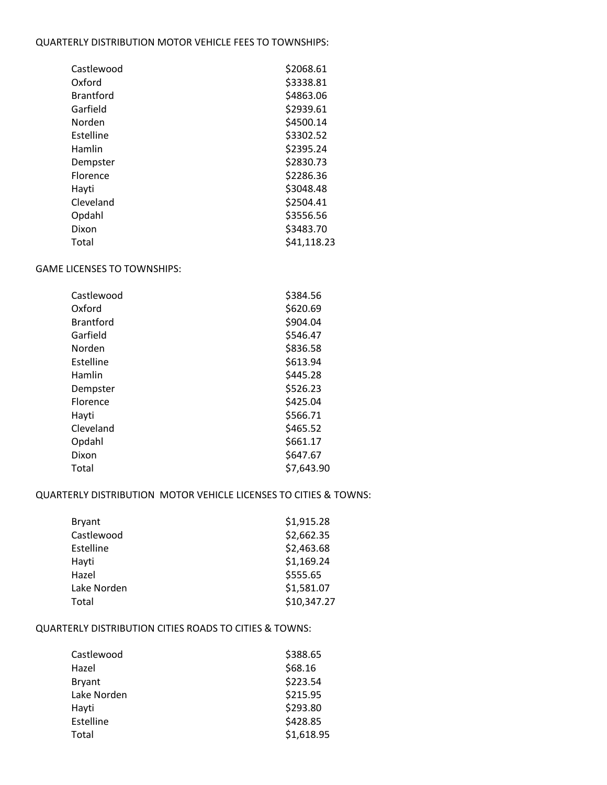### QUARTERLY DISTRIBUTION MOTOR VEHICLE FEES TO TOWNSHIPS:

| Castlewood       | \$2068.61   |
|------------------|-------------|
| Oxford           | \$3338.81   |
| <b>Brantford</b> | \$4863.06   |
| Garfield         | \$2939.61   |
| Norden           | \$4500.14   |
| Estelline        | \$3302.52   |
| Hamlin           | \$2395.24   |
| Dempster         | \$2830.73   |
| Florence         | \$2286.36   |
| Hayti            | \$3048.48   |
| Cleveland        | \$2504.41   |
| Opdahl           | \$3556.56   |
| Dixon            | \$3483.70   |
| Total            | \$41,118.23 |

# GAME LICENSES TO TOWNSHIPS:

| Castlewood       | \$384.56   |
|------------------|------------|
| Oxford           | \$620.69   |
| <b>Brantford</b> | \$904.04   |
| Garfield         | \$546.47   |
| Norden           | \$836.58   |
| Estelline        | \$613.94   |
| Hamlin           | \$445.28   |
| Dempster         | \$526.23   |
| Florence         | \$425.04   |
| Hayti            | \$566.71   |
| Cleveland        | \$465.52   |
| Opdahl           | \$661.17   |
| Dixon            | \$647.67   |
| Total            | \$7,643.90 |

## QUARTERLY DISTRIBUTION MOTOR VEHICLE LICENSES TO CITIES & TOWNS:

| <b>Bryant</b> | \$1,915.28  |
|---------------|-------------|
| Castlewood    | \$2,662.35  |
| Estelline     | \$2,463.68  |
| Hayti         | \$1,169.24  |
| Hazel         | \$555.65    |
| Lake Norden   | \$1,581.07  |
| Total         | \$10,347.27 |
|               |             |

# QUARTERLY DISTRIBUTION CITIES ROADS TO CITIES & TOWNS:

| Castlewood  | \$388.65   |
|-------------|------------|
| Hazel       | \$68.16    |
| Bryant      | \$223.54   |
| Lake Norden | \$215.95   |
| Hayti       | \$293.80   |
| Estelline   | \$428.85   |
| Total       | \$1,618.95 |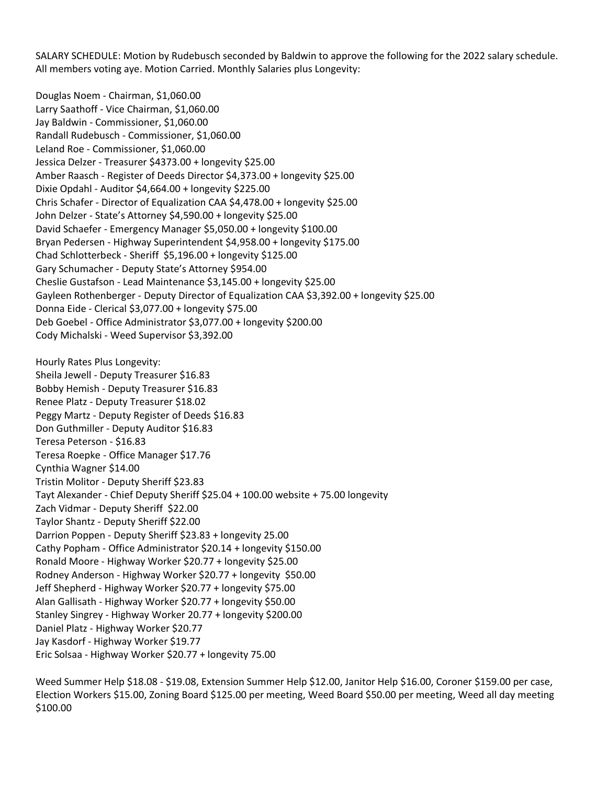SALARY SCHEDULE: Motion by Rudebusch seconded by Baldwin to approve the following for the 2022 salary schedule. All members voting aye. Motion Carried. Monthly Salaries plus Longevity:

Douglas Noem - Chairman, \$1,060.00 Larry Saathoff - Vice Chairman, \$1,060.00 Jay Baldwin - Commissioner, \$1,060.00 Randall Rudebusch - Commissioner, \$1,060.00 Leland Roe - Commissioner, \$1,060.00 Jessica Delzer - Treasurer \$4373.00 + longevity \$25.00 Amber Raasch - Register of Deeds Director \$4,373.00 + longevity \$25.00 Dixie Opdahl - Auditor \$4,664.00 + longevity \$225.00 Chris Schafer - Director of Equalization CAA \$4,478.00 + longevity \$25.00 John Delzer - State's Attorney \$4,590.00 + longevity \$25.00 David Schaefer - Emergency Manager \$5,050.00 + longevity \$100.00 Bryan Pedersen - Highway Superintendent \$4,958.00 + longevity \$175.00 Chad Schlotterbeck - Sheriff \$5,196.00 + longevity \$125.00 Gary Schumacher - Deputy State's Attorney \$954.00 Cheslie Gustafson - Lead Maintenance \$3,145.00 + longevity \$25.00 Gayleen Rothenberger - Deputy Director of Equalization CAA \$3,392.00 + longevity \$25.00 Donna Eide - Clerical \$3,077.00 + longevity \$75.00 Deb Goebel - Office Administrator \$3,077.00 + longevity \$200.00 Cody Michalski - Weed Supervisor \$3,392.00 Hourly Rates Plus Longevity: Sheila Jewell - Deputy Treasurer \$16.83 Bobby Hemish - Deputy Treasurer \$16.83 Renee Platz - Deputy Treasurer \$18.02 Peggy Martz - Deputy Register of Deeds \$16.83 Don Guthmiller - Deputy Auditor \$16.83

Teresa Peterson - \$16.83 Teresa Roepke - Office Manager \$17.76 Cynthia Wagner \$14.00 Tristin Molitor - Deputy Sheriff \$23.83 Tayt Alexander - Chief Deputy Sheriff \$25.04 + 100.00 website + 75.00 longevity Zach Vidmar - Deputy Sheriff \$22.00 Taylor Shantz - Deputy Sheriff \$22.00 Darrion Poppen - Deputy Sheriff \$23.83 + longevity 25.00 Cathy Popham - Office Administrator \$20.14 + longevity \$150.00 Ronald Moore - Highway Worker \$20.77 + longevity \$25.00 Rodney Anderson - Highway Worker \$20.77 + longevity \$50.00 Jeff Shepherd - Highway Worker \$20.77 + longevity \$75.00 Alan Gallisath - Highway Worker \$20.77 + longevity \$50.00 Stanley Singrey - Highway Worker 20.77 + longevity \$200.00 Daniel Platz - Highway Worker \$20.77 Jay Kasdorf - Highway Worker \$19.77 Eric Solsaa - Highway Worker \$20.77 + longevity 75.00

Weed Summer Help \$18.08 - \$19.08, Extension Summer Help \$12.00, Janitor Help \$16.00, Coroner \$159.00 per case, Election Workers \$15.00, Zoning Board \$125.00 per meeting, Weed Board \$50.00 per meeting, Weed all day meeting \$100.00